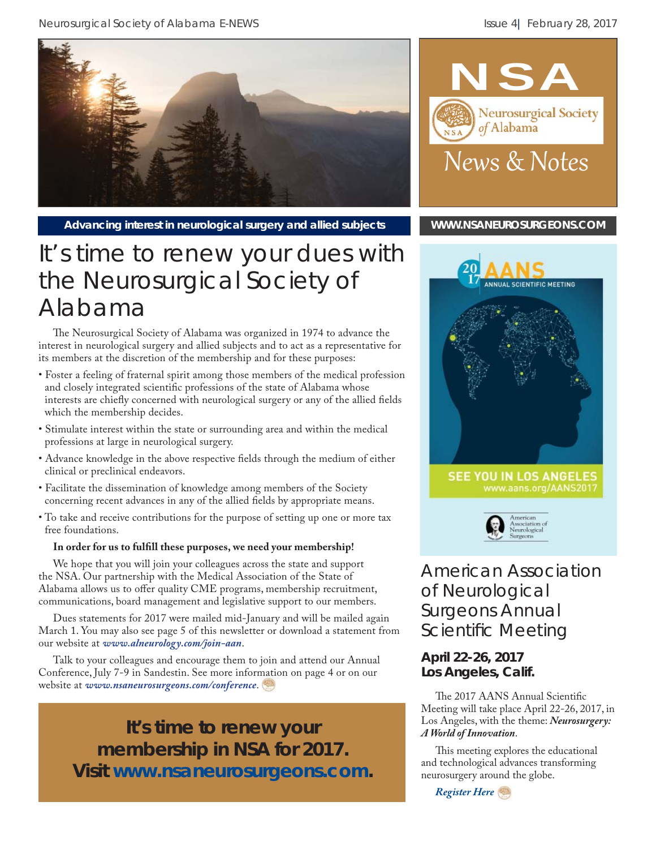

Advancing interest in neurological surgery and allied subjects **[WWW.NSANEUROSURGEONS.COM](http://www.nsaneurosurgeons.com)** 

## It's time to renew your dues with the Neurosurgical Society of Alabama

The Neurosurgical Society of Alabama was organized in 1974 to advance the interest in neurological surgery and allied subjects and to act as a representative for its members at the discretion of the membership and for these purposes:

- Foster a feeling of fraternal spirit among those members of the medical profession and closely integrated scientific professions of the state of Alabama whose interests are chiefly concerned with neurological surgery or any of the allied fields which the membership decides.
- Stimulate interest within the state or surrounding area and within the medical professions at large in neurological surgery.
- Advance knowledge in the above respective fields through the medium of either clinical or preclinical endeavors.
- Facilitate the dissemination of knowledge among members of the Society concerning recent advances in any of the allied fields by appropriate means.
- To take and receive contributions for the purpose of setting up one or more tax free foundations.

#### In order for us to fulfill these purposes, we need your membership!

We hope that you will join your colleagues across the state and support the NSA. Our partnership with the Medical Association of the State of Alabama allows us to offer quality CME programs, membership recruitment, communications, board management and legislative support to our members.

Dues statements for 2017 were mailed mid-January and will be mailed again March 1. You may also see page 5 of this newsletter or download a statement from our website at *www.alneurology.com/join-aan*.

Talk to your colleagues and encourage them to join and attend our Annual Conference, July 7-9 in Sandestin. See more information on page 4 or on our website at *www.nsaneurosurgeons.com/conference*.

**It's time to renew your membership in NSA for 2017. Visit** *www.nsaneurosurgeons.com***.**







American Association of Neurological Surgeons Annual Scientific Meeting

#### **April 22-26, 2017 Los Angeles, Calif.**

The 2017 AANS Annual Scientific Meeting will take place April 22-26, 2017, in Los Angeles, with the theme: *Neurosurgery: A World of Innovation*.

This meeting explores the educational and technological advances transforming neurosurgery around the globe.

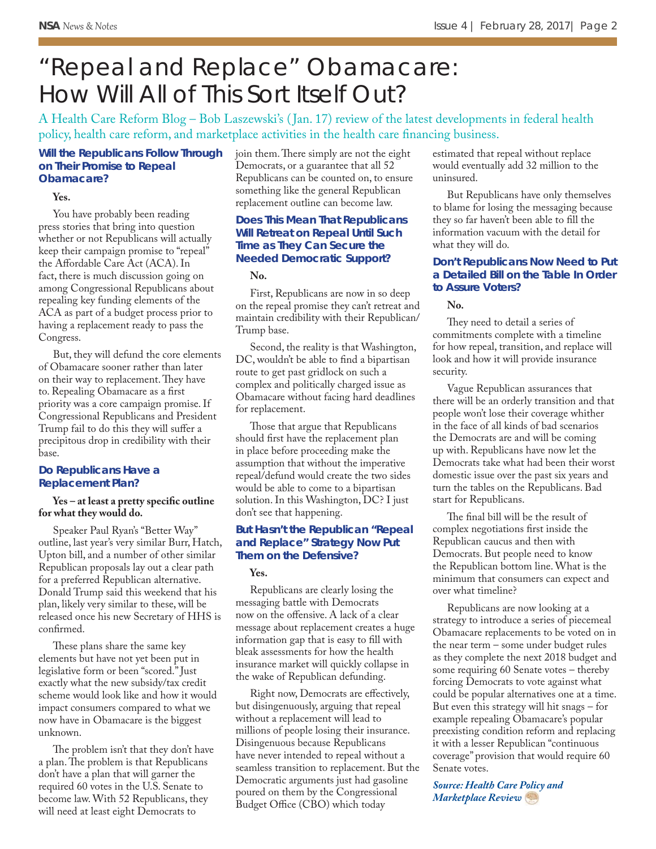## "Repeal and Replace" Obamacare: How Will All of This Sort Itself Out?

A Health Care Reform Blog – Bob Laszewski's ( Jan. 17) review of the latest developments in federal health policy, health care reform, and marketplace activities in the health care financing business.

#### **Will the Republicans Follow Through on Their Promise to Repeal Obamacare?**

#### **Yes.**

You have probably been reading press stories that bring into question whether or not Republicans will actually keep their campaign promise to "repeal" the Affordable Care Act (ACA). In fact, there is much discussion going on among Congressional Republicans about repealing key funding elements of the ACA as part of a budget process prior to having a replacement ready to pass the Congress.

But, they will defund the core elements of Obamacare sooner rather than later on their way to replacement. They have to. Repealing Obamacare as a first priority was a core campaign promise. If Congressional Republicans and President Trump fail to do this they will suffer a precipitous drop in credibility with their base.

#### **Do Republicans Have a Replacement Plan?**

#### Yes – at least a pretty specific outline **for what they would do.**

Speaker Paul Ryan's "Better Way" outline, last year's very similar Burr, Hatch, Upton bill, and a number of other similar Republican proposals lay out a clear path for a preferred Republican alternative. Donald Trump said this weekend that his plan, likely very similar to these, will be released once his new Secretary of HHS is confirmed.

These plans share the same key elements but have not yet been put in legislative form or been "scored." Just exactly what the new subsidy/tax credit scheme would look like and how it would impact consumers compared to what we now have in Obamacare is the biggest unknown.

The problem isn't that they don't have a plan. The problem is that Republicans don't have a plan that will garner the required 60 votes in the U.S. Senate to become law. With 52 Republicans, they will need at least eight Democrats to

join them. There simply are not the eight Democrats, or a guarantee that all 52 Republicans can be counted on, to ensure something like the general Republican replacement outline can become law.

#### **Does This Mean That Republicans Will Retreat on Repeal Until Such Time as They Can Secure the Needed Democratic Support?**

#### **No.**

First, Republicans are now in so deep on the repeal promise they can't retreat and maintain credibility with their Republican/ Trump base.

Second, the reality is that Washington, DC, wouldn't be able to find a bipartisan route to get past gridlock on such a complex and politically charged issue as Obamacare without facing hard deadlines for replacement.

Those that argue that Republicans should first have the replacement plan in place before proceeding make the assumption that without the imperative repeal/defund would create the two sides would be able to come to a bipartisan solution. In this Washington, DC? I just don't see that happening.

#### **But Hasn't the Republican "Repeal and Replace" Strategy Now Put Them on the Defensive?**

#### **Yes.**

Republicans are clearly losing the messaging battle with Democrats now on the offensive. A lack of a clear message about replacement creates a huge information gap that is easy to fill with bleak assessments for how the health insurance market will quickly collapse in the wake of Republican defunding.

Right now, Democrats are effectively, but disingenuously, arguing that repeal without a replacement will lead to millions of people losing their insurance. Disingenuous because Republicans have never intended to repeal without a seamless transition to replacement. But the Democratic arguments just had gasoline poured on them by the Congressional Budget Office (CBO) which today

estimated that repeal without replace would eventually add 32 million to the uninsured.

But Republicans have only themselves to blame for losing the messaging because they so far haven't been able to fill the information vacuum with the detail for what they will do.

#### **Don't Republicans Now Need to Put a Detailed Bill on the Table In Order to Assure Voters?**

#### **No.**

They need to detail a series of commitments complete with a timeline for how repeal, transition, and replace will look and how it will provide insurance security.

Vague Republican assurances that there will be an orderly transition and that people won't lose their coverage whither in the face of all kinds of bad scenarios the Democrats are and will be coming up with. Republicans have now let the Democrats take what had been their worst domestic issue over the past six years and turn the tables on the Republicans. Bad start for Republicans.

The final bill will be the result of complex negotiations first inside the Republican caucus and then with Democrats. But people need to know the Republican bottom line. What is the minimum that consumers can expect and over what timeline?

Republicans are now looking at a strategy to introduce a series of piecemeal Obamacare replacements to be voted on in the near term – some under budget rules as they complete the next 2018 budget and some requiring 60 Senate votes – thereby forcing Democrats to vote against what could be popular alternatives one at a time. But even this strategy will hit snags – for example repealing Obamacare's popular preexisting condition reform and replacing it with a lesser Republican "continuous coverage" provision that would require 60 Senate votes.

*[Source: Health Care Policy and](http://healthpolicyandmarket.blogspot.com/2017/01/repeal-and-replace-obamcare-how-will.html?utm_source=feedburner&utm_medium=email&utm_campaign=Feed%3A+HealthCarePolicyAndMarketplaceBlog+%28Health+Care+Policy+and+Marketplace+Blog%29)  Marketplace Review*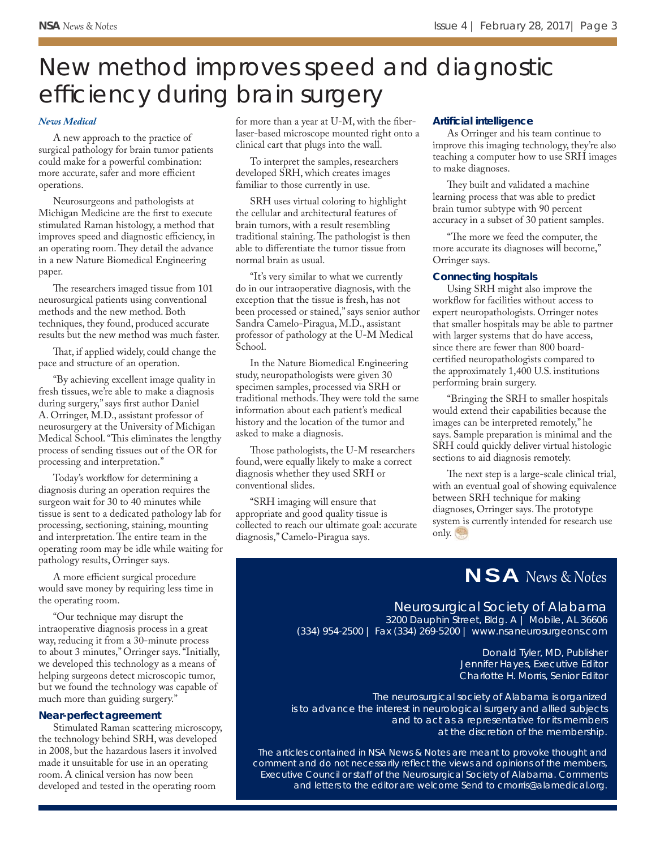## New method improves speed and diagnostic efficiency during brain surgery

#### *[News Medical](http://www.news-medical.net/news/20170207/New-method-improves-speed-and-diagnostic-efficiency-during-brain-surgery.aspx)*

A new approach to the practice of surgical pathology for brain tumor patients could make for a powerful combination: more accurate, safer and more efficient operations.

Neurosurgeons and pathologists at Michigan Medicine are the first to execute stimulated Raman histology, a method that improves speed and diagnostic efficiency, in an operating room. They detail the advance in a new Nature Biomedical Engineering paper.

The researchers imaged tissue from 101 neurosurgical patients using conventional methods and the new method. Both techniques, they found, produced accurate results but the new method was much faster.

That, if applied widely, could change the pace and structure of an operation.

"By achieving excellent image quality in fresh tissues, we're able to make a diagnosis during surgery," says first author Daniel A. Orringer, M.D., assistant professor of neurosurgery at the University of Michigan Medical School. "This eliminates the lengthy process of sending tissues out of the OR for processing and interpretation."

Today's workflow for determining a diagnosis during an operation requires the surgeon wait for 30 to 40 minutes while tissue is sent to a dedicated pathology lab for processing, sectioning, staining, mounting and interpretation. The entire team in the operating room may be idle while waiting for pathology results, Orringer says.

A more efficient surgical procedure would save money by requiring less time in the operating room.

"Our technique may disrupt the intraoperative diagnosis process in a great way, reducing it from a 30-minute process to about 3 minutes," Orringer says. "Initially, we developed this technology as a means of helping surgeons detect microscopic tumor, but we found the technology was capable of much more than guiding surgery."

#### **Near-perfect agreement**

Stimulated Raman scattering microscopy, the technology behind SRH, was developed in 2008, but the hazardous lasers it involved made it unsuitable for use in an operating room. A clinical version has now been developed and tested in the operating room

for more than a year at U-M, with the fiberlaser-based microscope mounted right onto a clinical cart that plugs into the wall.

To interpret the samples, researchers developed SRH, which creates images familiar to those currently in use.

SRH uses virtual coloring to highlight the cellular and architectural features of brain tumors, with a result resembling traditional staining. The pathologist is then able to differentiate the tumor tissue from normal brain as usual.

"It's very similar to what we currently do in our intraoperative diagnosis, with the exception that the tissue is fresh, has not been processed or stained," says senior author Sandra Camelo-Piragua, M.D., assistant professor of pathology at the U-M Medical School.

In the Nature Biomedical Engineering study, neuropathologists were given 30 specimen samples, processed via SRH or traditional methods. They were told the same information about each patient's medical history and the location of the tumor and asked to make a diagnosis.

Those pathologists, the U-M researchers found, were equally likely to make a correct diagnosis whether they used SRH or conventional slides.

"SRH imaging will ensure that appropriate and good quality tissue is collected to reach our ultimate goal: accurate diagnosis," Camelo-Piragua says.

#### **Artifi cial intelligence**

As Orringer and his team continue to improve this imaging technology, they're also teaching a computer how to use SRH images to make diagnoses.

They built and validated a machine learning process that was able to predict brain tumor subtype with 90 percent accuracy in a subset of 30 patient samples.

"The more we feed the computer, the more accurate its diagnoses will become," Orringer says.

#### **Connecting hospitals**

Using SRH might also improve the workflow for facilities without access to expert neuropathologists. Orringer notes that smaller hospitals may be able to partner with larger systems that do have access, since there are fewer than 800 boardcertified neuropathologists compared to the approximately 1,400 U.S. institutions performing brain surgery.

"Bringing the SRH to smaller hospitals would extend their capabilities because the images can be interpreted remotely," he says. Sample preparation is minimal and the SRH could quickly deliver virtual histologic sections to aid diagnosis remotely.

The next step is a large-scale clinical trial, with an eventual goal of showing equivalence between SRH technique for making diagnoses, Orringer says. The prototype system is currently intended for research use only.

## NSA News & Notes

#### Neurosurgical Society of Alabama 3200 Dauphin Street, Bldg. A | Mobile, AL 36606

(334) 954-2500 | Fax (334) 269-5200 | www.nsaneurosurgeons.com

Donald Tyler, MD, Publisher Jennifer Hayes, Executive Editor Charlotte H. Morris, Senior Editor

*The neurosurgical society of Alabama is organized is to advance the interest in neurological surgery and allied subjects and to act as a representative for its members at the discretion of the membership.*

*The articles contained in NSA News & Notes are meant to provoke thought and comment and do not necessarily refl ect the views and opinions of the members, Executive Council or staff of the Neurosurgical Society of Alabama. Comments and letters to the editor are welcome Send to cmorris@alamedical.org.*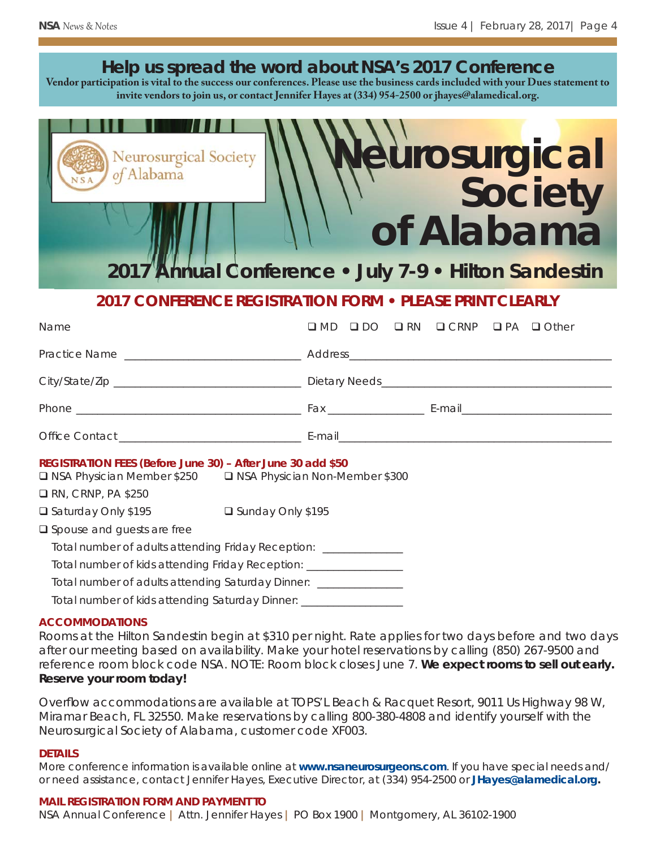|                                                                                                                          |                                  | Help us spread the word about NSA's 2017 Conference<br>Vendor participation is vital to the success our conferences. Please use the business cards included with your Dues statement to<br>invite vendors to join us, or contact Jennifer Hayes at (334) 954-2500 or jhayes@alamedical.org. |  |
|--------------------------------------------------------------------------------------------------------------------------|----------------------------------|---------------------------------------------------------------------------------------------------------------------------------------------------------------------------------------------------------------------------------------------------------------------------------------------|--|
| Neurosurgical Society                                                                                                    |                                  | <b>Aurosurgical</b><br>of Alabama                                                                                                                                                                                                                                                           |  |
|                                                                                                                          |                                  | 2017 Annual Conference . July 7-9 . Hilton Sandestin                                                                                                                                                                                                                                        |  |
|                                                                                                                          |                                  | 2017 CONFERENCE REGISTRATION FORM . PLEASE PRINT CLEARLY                                                                                                                                                                                                                                    |  |
|                                                                                                                          |                                  |                                                                                                                                                                                                                                                                                             |  |
|                                                                                                                          |                                  |                                                                                                                                                                                                                                                                                             |  |
|                                                                                                                          |                                  |                                                                                                                                                                                                                                                                                             |  |
|                                                                                                                          |                                  |                                                                                                                                                                                                                                                                                             |  |
|                                                                                                                          |                                  |                                                                                                                                                                                                                                                                                             |  |
|                                                                                                                          |                                  |                                                                                                                                                                                                                                                                                             |  |
| REGISTRATION FEES (Before June 30) - After June 30 add \$50<br>□ NSA Physician Member \$250<br>$\Box$ RN, CRNP, PA \$250 | □ NSA Physician Non-Member \$300 |                                                                                                                                                                                                                                                                                             |  |
| □ Saturday Only \$195                                                                                                    | □ Sunday Only \$195              |                                                                                                                                                                                                                                                                                             |  |
| □ Spouse and guests are free                                                                                             |                                  |                                                                                                                                                                                                                                                                                             |  |
| Total number of adults attending Friday Reception: _______________                                                       |                                  |                                                                                                                                                                                                                                                                                             |  |
| Total number of kids attending Friday Reception: __________________                                                      |                                  |                                                                                                                                                                                                                                                                                             |  |
| Total number of adults attending Saturday Dinner: _______________                                                        |                                  |                                                                                                                                                                                                                                                                                             |  |
| Total number of kids attending Saturday Dinner: ___________________                                                      |                                  |                                                                                                                                                                                                                                                                                             |  |

#### **ACCOMMODATIONS**

Rooms at the Hilton Sandestin begin at \$310 per night. Rate applies for two days before and two days after our meeting based on availability. Make your hotel reservations by calling (850) 267-9500 and reference room block code NSA. NOTE: Room block closes June 7. **We expect rooms to sell out early. Reserve your room today!**

Overflow accommodations are available at TOPS'L Beach & Racquet Resort, 9011 Us Highway 98 W, Miramar Beach, FL 32550. Make reservations by calling 800-380-4808 and identify yourself with the Neurosurgical Society of Alabama, customer code XF003.

#### **DETAILS**

More conference information is available online at *www.nsaneurosurgeons.com*. If you have special needs and/ or need assistance, contact Jennifer Hayes, Executive Director, at (334) 954-2500 or *JHayes@alamedical.org***.**

#### **MAIL REGISTRATION FORM AND PAYMENT TO**

NSA Annual Conference **|** Attn. Jennifer Hayes **|** PO Box 1900 **|** Montgomery, AL 36102-1900